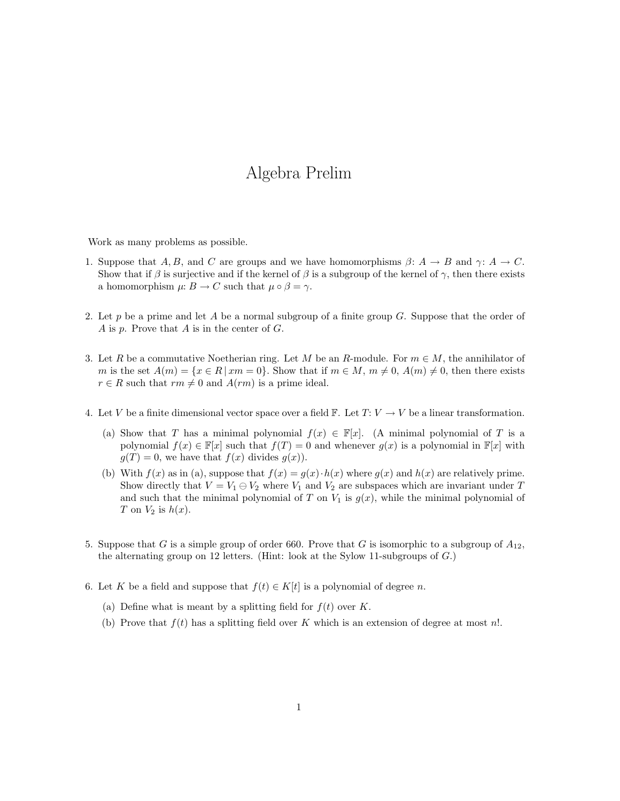## Algebra Prelim

Work as many problems as possible.

- 1. Suppose that A, B, and C are groups and we have homomorphisms  $\beta: A \to B$  and  $\gamma: A \to C$ . Show that if  $\beta$  is surjective and if the kernel of  $\beta$  is a subgroup of the kernel of  $\gamma$ , then there exists a homomorphism  $\mu: B \to C$  such that  $\mu \circ \beta = \gamma$ .
- 2. Let p be a prime and let A be a normal subgroup of a finite group  $G$ . Suppose that the order of A is  $p$ . Prove that A is in the center of  $G$ .
- 3. Let R be a commutative Noetherian ring. Let M be an R-module. For  $m \in M$ , the annihilator of m is the set  $A(m) = \{x \in R \mid xm = 0\}$ . Show that if  $m \in M$ ,  $m \neq 0$ ,  $A(m) \neq 0$ , then there exists  $r \in R$  such that  $rm \neq 0$  and  $A(rm)$  is a prime ideal.
- 4. Let V be a finite dimensional vector space over a field  $\mathbb{F}$ . Let  $T: V \to V$  be a linear transformation.
	- (a) Show that T has a minimal polynomial  $f(x) \in \mathbb{F}[x]$ . (A minimal polynomial of T is a polynomial  $f(x) \in \mathbb{F}[x]$  such that  $f(T) = 0$  and whenever  $g(x)$  is a polynomial in  $\mathbb{F}[x]$  with  $q(T) = 0$ , we have that  $f(x)$  divides  $q(x)$ ).
	- (b) With  $f(x)$  as in (a), suppose that  $f(x) = g(x) \cdot h(x)$  where  $g(x)$  and  $h(x)$  are relatively prime. Show directly that  $V = V_1 \oplus V_2$  where  $V_1$  and  $V_2$  are subspaces which are invariant under T and such that the minimal polynomial of T on  $V_1$  is  $g(x)$ , while the minimal polynomial of T on  $V_2$  is  $h(x)$ .
- 5. Suppose that G is a simple group of order 660. Prove that G is isomorphic to a subgroup of  $A_{12}$ , the alternating group on 12 letters. (Hint: look at the Sylow 11-subgroups of G.)
- 6. Let K be a field and suppose that  $f(t) \in K[t]$  is a polynomial of degree n.
	- (a) Define what is meant by a splitting field for  $f(t)$  over K.
	- (b) Prove that  $f(t)$  has a splitting field over K which is an extension of degree at most n!.